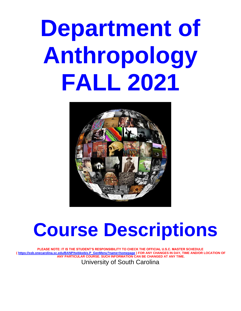# **Department of Anthropology FALL 2021**



# **Course Descriptions**

**PLEASE NOTE: IT IS THE STUDENT'S RESPONSIBILITY TO CHECK THE OFFICIAL U.S.C. MASTER SCHEDULE ( [https://ssb.onecarolina.sc.edu/BANP/twbkwbis.P\\_GenMenu?name=homepage](https://ssb.onecarolina.sc.edu/BANP/twbkwbis.P_GenMenu?name=homepage) ) FOR ANY CHANGES IN DAY, TIME AND/OR LOCATION OF ANY PARTICULAR COURSE. SUCH INFORMATION CAN BE CHANGED AT ANY TIME.** University of South Carolina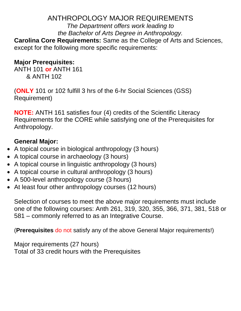# ANTHROPOLOGY MAJOR REQUIREMENTS

*The Department offers work leading to the Bachelor of Arts Degree in Anthropology.*

**Carolina Core Requirements:** Same as the College of Arts and Sciences, except for the following more specific requirements:

# **Major Prerequisites:**

ANTH 101 **or** ANTH 161 & ANTH 102

(**ONLY** 101 or 102 fulfill 3 hrs of the 6-hr Social Sciences (GSS) Requirement)

**NOTE:** ANTH 161 satisfies four (4) credits of the Scientific Literacy Requirements for the CORE while satisfying one of the Prerequisites for Anthropology.

# **General Major:**

- A topical course in biological anthropology (3 hours)
- A topical course in archaeology (3 hours)
- A topical course in linguistic anthropology (3 hours)
- A topical course in cultural anthropology (3 hours)
- A 500-level anthropology course (3 hours)
- At least four other anthropology courses (12 hours)

Selection of courses to meet the above major requirements must include one of the following courses: Anth 261, 319, 320, 355, 366, 371, 381, 518 or 581 – commonly referred to as an Integrative Course.

(**Prerequisites** do not satisfy any of the above General Major requirements!)

Major requirements (27 hours) Total of 33 credit hours with the Prerequisites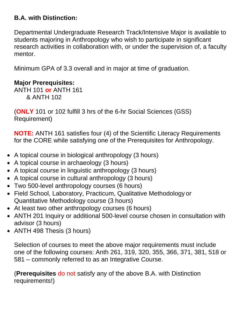# **B.A. with Distinction:**

Departmental Undergraduate Research Track/Intensive Major is available to students majoring in Anthropology who wish to participate in significant research activities in collaboration with, or under the supervision of, a faculty mentor.

Minimum GPA of 3.3 overall and in major at time of graduation.

# **Major Prerequisites:**

ANTH 101 **or** ANTH 161 & ANTH 102

(**ONLY** 101 or 102 fulfill 3 hrs of the 6-hr Social Sciences (GSS) Requirement)

**NOTE:** ANTH 161 satisfies four (4) of the Scientific Literacy Requirements for the CORE while satisfying one of the Prerequisites for Anthropology.

- A topical course in biological anthropology (3 hours)
- A topical course in archaeology (3 hours)
- A topical course in linguistic anthropology (3 hours)
- A topical course in cultural anthropology (3 hours)
- Two 500-level anthropology courses (6 hours)
- Field School, Laboratory, Practicum, Qualitative Methodology or Quantitative Methodology course (3 hours)
- At least two other anthropology courses (6 hours)
- ANTH 201 Inquiry or additional 500-level course chosen in consultation with advisor (3 hours)
- ANTH 498 Thesis (3 hours)

Selection of courses to meet the above major requirements must include one of the following courses: Anth 261, 319, 320, 355, 366, 371, 381, 518 or 581 – commonly referred to as an Integrative Course.

(**Prerequisites** do not satisfy any of the above B.A. with Distinction requirements!)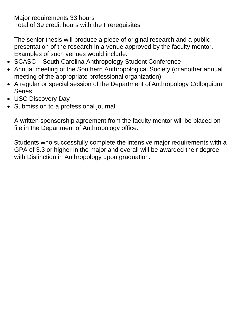Major requirements 33 hours

Total of 39 credit hours with the Prerequisites

The senior thesis will produce a piece of original research and a public presentation of the research in a venue approved by the faculty mentor. Examples of such venues would include:

- SCASC South Carolina Anthropology Student Conference
- Annual meeting of the Southern Anthropological Society (or another annual meeting of the appropriate professional organization)
- A regular or special session of the Department of Anthropology Colloquium Series
- USC Discovery Day
- Submission to a professional journal

A written sponsorship agreement from the faculty mentor will be placed on file in the Department of Anthropology office.

Students who successfully complete the intensive major requirements with a GPA of 3.3 or higher in the major and overall will be awarded their degree with Distinction in Anthropology upon graduation.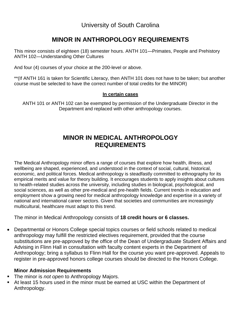University of South Carolina

# **MINOR IN ANTHROPOLOGY REQUIREMENTS**

This minor consists of eighteen (18) semester hours. ANTH 101—Primates, People and Prehistory ANTH 102—Understanding Other Cultures

And four (4) courses of your choice at the 200-level or above.

\*\*(If ANTH 161 is taken for Scientific Literacy, then ANTH 101 does not have to be taken; but another course must be selected to have the correct number of total credits for the MINOR)

# **In certain cases**

ANTH 101 or ANTH 102 can be exempted by permission of the Undergraduate Director in the Department and replaced with other anthropology courses.

# **MINOR IN MEDICAL ANTHROPOLOGY REQUIREMENTS**

The Medical Anthropology minor offers a range of courses that explore how health, illness, and wellbeing are shaped, experienced, and understood in the context of social, cultural, historical, economic, and political forces. Medical anthropology is steadfastly committed to ethnography for its empirical merits and value for theory building. It encourages students to apply insights about cultures to health-related studies across the university, including studies in biological, psychological, and social sciences, as well as other pre-medical and pre-health fields. Current trends in education and employment show a growing need for medical anthropology knowledge and expertise in a variety of national and international career sectors. Given that societies and communities are increasingly multicultural, healthcare must adapt to this trend.

The minor in Medical Anthropology consists of **18 credit hours or 6 classes.** 

• Departmental or Honors College special topics courses or field schools related to medical anthropology may fulfill the restricted electives requirement, provided that the course substitutions are pre-approved by the office of the Dean of Undergraduate Student Affairs and Advising in Flinn Hall in consultation with faculty content experts in the Department of Anthropology; bring a syllabus to Flinn Hall for the course you want pre-approved. Appeals to register in pre-approved honors college courses should be directed to the Honors College.

# **Minor Admission Requirements**

- The minor is *not open* to Anthropology Majors.
- **EXT** At least 15 hours used in the minor must be earned at USC within the Department of Anthropology.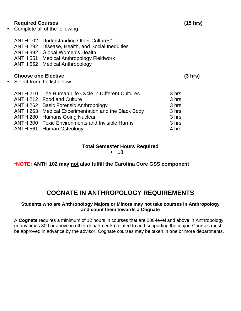# **Required Courses (15 hrs)**

▪ Complete all of the following:

ANTH 102 Understanding Other Cultures\* ANTH 292 Disease, Health, and Social Inequities ANTH 392 Global Women's Health ANTH 551 Medical Anthropology Fieldwork ANTH 552 Medical Anthropology

# **Choose one Elective (3 hrs)**

■ Select from the list below:

| ANTH 210 The Human Life Cycle in Different Cultures    | 3 hrs |
|--------------------------------------------------------|-------|
| ANTH 212 Food and Culture                              | 3 hrs |
| <b>ANTH 262 Basic Forensic Anthropology</b>            | 3 hrs |
| ANTH 263 Medical Experimentation and the Black Body    | 3 hrs |
| <b>ANTH 280 Humans Going Nuclear</b>                   | 3 hrs |
| <b>ANTH 300 Toxic Environments and Invisible Harms</b> | 3 hrs |
| ANTH 561 Human Osteology                               | 4 hrs |

# **Total Semester Hours Required**

■ 18

**\*NOTE: ANTH 102 may not also fulfill the Carolina Core GSS component**

# **COGNATE IN ANTHROPOLOGY REQUIREMENTS**

# **Students who are Anthropology Majors or Minors may not take courses in Anthropology and count them towards a Cognate**

A **Cognate** requires a minimum of 12 hours in courses that are 200-level and above in Anthropology (many times 300 or above in other departments) related to and supporting the major. Courses must be approved in advance by the advisor. Cognate courses may be taken in one or more departments.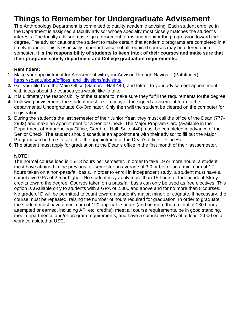# **Things to Remember for Undergraduate Advisement**

The Anthropology Department is committed to quality academic advising. Each student enrolled in the Department is assigned a faculty advisor whose specialty most closely matches the student's interests. The faculty advisor must sign advisement forms and monitor the progression toward the degree. The advisor cautions the student to make certain that academic programs are completed in a timely manner. This is especially important since not all required courses may be offered each semester. **It is the responsibility of students to keep track of their courses and make sure that their programs satisfy department and College graduation requirements.**

# **Reminders:**

- **1.** Make your appointment for Advisement with your Advisor Through Navigate (Pathfinder). [https://sc.edu/about/offices\\_and\\_divisions/advising/](https://sc.edu/about/offices_and_divisions/advising/)
- **2.** Get your file from the Main Office (Gambrell Hall 440) and take it to your advisement appointment with ideas about the courses you would like to take.
- **3.** It is ultimately the responsibility of the student to make sure they fulfill the requirements forthe degree.
- **4.** Following advisement, the student must take a copy of the signed advisement form to the departmental Undergraduate Co-Ordinator. Only then will the student be cleared on the computer for registration.
- **5.** During the student's the last semester of their Junior Year, they must call the office of the Dean (777- 2993) and make an appointment for a Senior Check. The Major Program Card (available in the Department of Anthropology Office, Gambrell Hall, Suite 440) must be completed in advance of the Senior Check. The student should schedule an appointment with their advisor to fill out the Major Program card in time to take it to the appointment at the Dean's office – Flinn Hall.
- **6.** The student must apply for graduation at the Dean's office in the first month of their last semester.

# **NOTE:**

The normal course load is 15-18 hours per semester. In order to take 19 or more hours, a student must have attained in the previous full semester an average of 3.0 or better on a minimum of 12 hours taken on a non-pass/fail basis. In order to enroll in independent study, a student must have a cumulative GPA of 2.5 or higher. No student may apply more than 15 hours of Independent Study credits toward the degree. Courses taken on a pass/fail basis can only be used as free electives. This option is available only to students with a GPA of 2.000 and above and for no more than 8 courses. No grade of D will be permitted to count toward a student's major, minor, or cognate. If necessary, the course must be repeated, raising the number of hours required for graduation. In order to graduate, the student must have a minimum of 120 applicable hours (and no more than a total of 180 hours attempted or earned, including AP, etc. credits), meet all course requirements, be in good standing, meet departmental and/or program requirements, and have a cumulative GPA of at least 2.000 on all work completed at USC.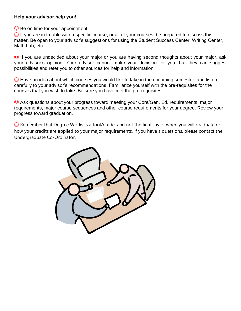# **Help your advisor help you!**

 $\odot$  Be on time for your appointment

 $\odot$  If you are in trouble with a specific course, or all of your courses, be prepared to discuss this matter. Be open to your advisor's suggestions for using the Student Success Center, Writing Center, Math Lab, etc.

 $\odot$  If you are undecided about your major or you are having second thoughts about your major, ask your advisor's opinion. Your advisor cannot make your decision for you, but they can suggest possibilities and refer you to other sources for help and information.

 $\odot$  Have an idea about which courses you would like to take in the upcoming semester, and listen carefully to your advisor's recommendations. Familiarize yourself with the pre-requisites for the courses that you wish to take. Be sure you have met the pre-requisites.

☺ Ask questions about your progress toward meeting your Core/Gen. Ed. requirements, major requirements, major course sequences and other course requirements for your degree. Review your progress toward graduation.

 $\odot$  Remember that Degree Works is a tool/guide; and not the final say of when you will graduate or how your credits are applied to your major requirements. If you have a questions, please contact the Undergraduate Co-Ordinator.

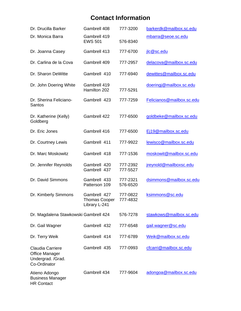# **Contact Information**

| Dr. Drucilla Barker                                                                   | Gambrell 408                                          | 777-3200             | barkerdk@mailbox.sc.edu   |
|---------------------------------------------------------------------------------------|-------------------------------------------------------|----------------------|---------------------------|
| Dr. Monica Barra                                                                      | Gambrell 419<br><b>EWS 501</b>                        | 576-8340             | mbarra@seoe.sc.edu        |
| Dr. Joanna Casey                                                                      | Gambrell 413                                          | 777-6700             | jlc@sc.edu                |
| Dr. Carlina de la Cova                                                                | Gambrell 409                                          | 777-2957             | delacova@mailbox.sc.edu   |
| Dr. Sharon DeWitte                                                                    | Gambrell 410                                          | 777-6940             | dewittes@mailbox.sc.edu   |
| Dr. John Doering White                                                                | Gambrell 419<br>Hamilton 202                          | 777-5291             | doeringj@mailbox.sc.edu   |
| Dr. Sherina Feliciano-<br><b>Santos</b>                                               | Gambrell 423                                          | 777-7259             | Felicianos@mailbox.sc.edu |
| Dr. Katherine (Kelly)<br>Goldberg                                                     | Gambrell 422                                          | 777-6500             | goldbeke@mailbox.sc.edu   |
| Dr. Eric Jones                                                                        | Gambrell 416                                          | 777-6500             | Ej19@mailbox.sc.edu       |
| Dr. Courtney Lewis                                                                    | Gambrell 411                                          | 777-9922             | lewisco@mailbox.sc.edu    |
| Dr. Marc Moskowitz                                                                    | Gambrell 418                                          | 777-1536             | moskowit@mailbox.sc.edu   |
| Dr. Jennifer Reynolds                                                                 | Gambrell 420<br>Gambrell 437                          | 777-2392<br>777-5527 | jreynold@mailboxsc.edu    |
| Dr. David Simmons                                                                     | Gambrell 433<br>Patterson 109                         | 777-2321<br>576-6520 | dsimmons@mailbox.sc.edu   |
| Dr. Kimberly Simmons                                                                  | Gambrell 427<br><b>Thomas Cooper</b><br>Library L-241 | 777-0822<br>777-4832 | ksimmons@sc.edu           |
| Dr. Magdalena Stawkowski Gambrell 424                                                 |                                                       | 576-7278             | stawkows@mailbox.sc.edu   |
| Dr. Gail Wagner                                                                       | Gambrell 432                                          | 777-6548             | gail.wagner@sc.edu        |
| Dr. Terry Weik                                                                        | Gambrell 414                                          | 777-6789             | Weik@mailbox.sc.edu       |
| <b>Claudia Carriere</b><br><b>Office Manager</b><br>Undergrad. /Grad.<br>Co-Ordinator | Gambrell 435                                          | 777-0993             | cfcarri@mailbox.sc.edu    |
| Atieno Adongo<br><b>Business Manager</b><br><b>HR Contact</b>                         | Gambrell 434                                          | 777-9604             | adongoa@mailbox.sc.edu    |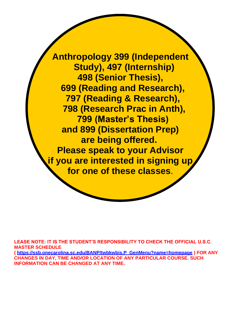**Anthropology 399 (Independent Study), 497 (Internship) 498 (Senior Thesis), 699 (Reading and Research), 797 (Reading & Research), 798 (Research Prac in Anth), 799 (Master's Thesis) and 899 (Dissertation Prep) are being offered. Please speak to your Advisor if you are interested in signing up for one of these classes**.

**LEASE NOTE: IT IS THE STUDENT'S RESPONSIBILITY TO CHECK THE OFFICIAL U.S.C. MASTER SCHEDULE ( [https://ssb.onecarolina.sc.edu/BANP/twbkwbis.P\\_GenMenu?name=homepage](https://ssb.onecarolina.sc.edu/BANP/twbkwbis.P_GenMenu?name=homepage) ) FOR ANY CHANGES IN DAY, TIME AND/OR LOCATION OF ANY PARTICULAR COURSE. SUCH INFORMATION CAN BE CHANGED AT ANY TIME.**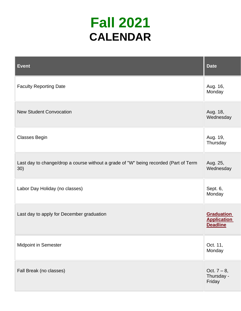# **Fall 2021 CALENDAR**

| <b>Event</b>                                                                                | <b>Date</b>                                                |
|---------------------------------------------------------------------------------------------|------------------------------------------------------------|
| <b>Faculty Reporting Date</b>                                                               | Aug. 16,<br>Monday                                         |
| <b>New Student Convocation</b>                                                              | Aug. 18,<br>Wednesday                                      |
| <b>Classes Begin</b>                                                                        | Aug. 19,<br>Thursday                                       |
| Last day to change/drop a course without a grade of "W" being recorded (Part of Term<br>30) | Aug. 25,<br>Wednesday                                      |
| Labor Day Holiday (no classes)                                                              | Sept. 6,<br>Monday                                         |
| Last day to apply for December graduation                                                   | <b>Graduation</b><br><b>Application</b><br><b>Deadline</b> |
| Midpoint in Semester                                                                        | Oct. 11,<br>Monday                                         |
| Fall Break (no classes)                                                                     | Oct. $7 - 8$ ,<br>Thursday -<br>Friday                     |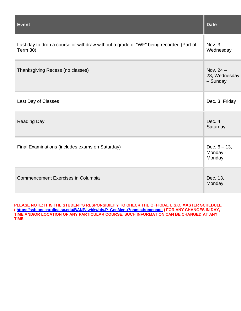| <b>Event</b>                                                                                             | <b>Date</b>                              |
|----------------------------------------------------------------------------------------------------------|------------------------------------------|
| Last day to drop a course or withdraw without a grade of "WF" being recorded (Part of<br><b>Term 30)</b> | Nov. 3,<br>Wednesday                     |
| Thanksgiving Recess (no classes)                                                                         | Nov. $24 -$<br>28, Wednesday<br>- Sunday |
| Last Day of Classes                                                                                      | Dec. 3, Friday                           |
| <b>Reading Day</b>                                                                                       | Dec. 4,<br>Saturday                      |
| Final Examinations (includes exams on Saturday)                                                          | Dec. $6 - 13$ ,<br>Monday -<br>Monday    |
| <b>Commencement Exercises in Columbia</b>                                                                | Dec. 13,<br>Monday                       |

**PLEASE NOTE: IT IS THE STUDENT'S RESPONSIBILITY TO CHECK THE OFFICIAL U.S.C. MASTER SCHEDULE ( [https://ssb.onecarolina.sc.edu/BANP/twbkwbis.P\\_GenMenu?name=homepage](https://ssb.onecarolina.sc.edu/BANP/twbkwbis.P_GenMenu?name=homepage) ) FOR ANY CHANGES IN DAY, TIME AND/OR LOCATION OF ANY PARTICULAR COURSE. SUCH INFORMATION CAN BE CHANGED AT ANY TIME.**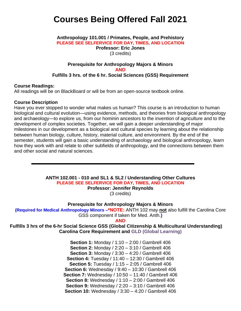# **Courses Being Offered Fall 2021**

#### **Anthropology 101.001 / Primates, People, and Prehistory PLEASE SEE SELFERVICE FOR DAY, TIMES, AND LOCATION Professor: Eric Jones** (3 credits)

# **Prerequisite for Anthropology Majors & Minors AND Fulfills 3 hrs. of the 6 hr. Social Sciences (GSS) Requirement**

#### **Course Readings:**

All readings will be on BlackBoard or will be from an open-source textbook online.

#### **Course Description**

Have you ever stopped to wonder what makes us human? This course is an introduction to human biological and cultural evolution—using evidence, methods, and theories from biological anthropology and archaeology—to explore us, from our hominin ancestors to the invention of agriculture and to the development of complex societies. Together, we will gain a deeper understanding of major milestones in our development as a biological and cultural species by learning about the relationship between human biology, culture, history, material culture, and environment. By the end of the semester, students will gain a basic understanding of archaeology and biological anthropology, learn how they work with and relate to other subfields of anthropology, and the connections between them and other social and natural sciences.

> **ANTH 102.001 - 010 and SL1 & SL2 / Understanding Other Cultures PLEASE SEE SELFERVICE FOR DAY, TIMES, AND LOCATION**

**Professor: Jennifer Reynolds**

(3 credits)

**Prerequisite for Anthropology Majors & Minors**

**(Required for Medical Anthropology Minors –\*NOTE:** ANTH 102 may **not** also fulfill the Carolina Core GSS component if taken for Med. Anth.**)**

**AND**

**Fulfills 3 hrs of the 6-hr Social Science GSS (Global Citizenship & Multicultural Understanding) Carolina Core Requirement and GLD (Global Learning)**

> **Section 1:** Monday / 1:10 – 2:00 / Gambrell 406 **Section 2:** Monday / 2:20 – 3:10 / Gambrell 406 **Section 3:** Monday / 3:30 – 4:20 / Gambrell 406 **Section 4:** Tuesday / 11:40 – 12:30 / Gambrell 406 **Section 5:** Tuesday / 1:15 – 2:05 / Gambrell 406 **Section 6:** Wednesday / 9:40 – 10:30 / Gambrell 406 **Section 7:** Wednesday / 10:50 – 11:40 / Gambrell 406 **Section 8:** Wednesday / 1:10 – 2:00 / Gambrell 406 **Section 9:** Wednesday / 2:20 – 3:10 / Gambrell 406 **Section 10:** Wednesday / 3:30 – 4:20 / Gambrell 406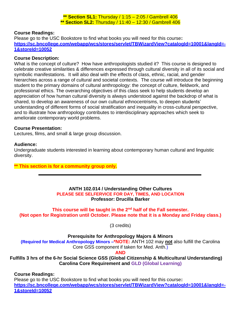**\*\* Section SL1:** Thursday / 1:15 – 2:05 / Gambrell 406 **\*\* Section SL2:** Thursday / 11:40 – 12:30 / Gambrell 406

# **Course Readings:**

Please go to the USC Bookstore to find what books you will need for this course**: [https://sc.bncollege.com/webapp/wcs/stores/servlet/TBWizardView?catalogId=10001&langId=-](https://sc.bncollege.com/webapp/wcs/stores/servlet/TBWizardView?catalogId=10001&langId=-1&storeId=10052) [1&storeId=10052](https://sc.bncollege.com/webapp/wcs/stores/servlet/TBWizardView?catalogId=10001&langId=-1&storeId=10052)**

# **Course Description:**

What is the concept of culture? How have anthropologists studied it? This course is designed to celebrate creative similarities & differences expressed through cultural diversity in all of its social and symbolic manifestations. It will also deal with the effects of class, ethnic, racial, and gender hierarchies across a range of cultural and societal contexts. The course will introduce the beginning student to the primary domains of cultural anthropology: the concept of culture, fieldwork, and professional ethics. The overarching objectives of this class seek to help students develop an appreciation of how human cultural diversity is always understood against the backdrop of what is shared, to develop an awareness of our own cultural ethnocentrisms, to deepen students' understanding of different forms of social stratification and inequality in cross-cultural perspective, and to illustrate how anthropology contributes to interdisciplinary approaches which seek to ameliorate contemporary world problems.

#### **Course Presentation:**

Lectures, films, and small & large group discussion.

# **Audience:**

Undergraduate students interested in learning about contemporary human cultural and linguistic diversity.

# **\*\* This section is for a community group only.**

# **ANTH 102.014 / Understanding Other Cultures PLEASE SEE SELFERVICE FOR DAY, TIMES, AND LOCATION Professor: Drucilla Barker**

**This course will be taught in the 2nd half of the Fall semester. (Not open for Registration until October. Please note that it is a Monday and Friday class.)**

(3 credits)

# **Prerequisite for Anthropology Majors & Minors**

**(Required for Medical Anthropology Minors –\*NOTE:** ANTH 102 may **not** also fulfill the Carolina Core GSS component if taken for Med. Anth.)

**AND**

**Fulfills 3 hrs of the 6-hr Social Science GSS (Global Citizenship & Multicultural Understanding) Carolina Core Requirement and GLD (Global Learning)**

# **Course Readings:**

Please go to the USC Bookstore to find what books you will need for this course**: [https://sc.bncollege.com/webapp/wcs/stores/servlet/TBWizardView?catalogId=10001&langId=-](https://sc.bncollege.com/webapp/wcs/stores/servlet/TBWizardView?catalogId=10001&langId=-1&storeId=10052) [1&storeId=10052](https://sc.bncollege.com/webapp/wcs/stores/servlet/TBWizardView?catalogId=10001&langId=-1&storeId=10052)**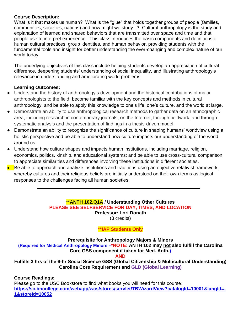# **Course Description:**

What is it that makes us human? What is the "glue" that holds together groups of people (families, communities, societies, nations) and how might we study it? Cultural anthropology is the study and explanation of learned and shared behaviors that are transmitted over space and time and that people use to interpret experience. This class introduces the basic components and definitions of human cultural practices, group identities, and human behavior, providing students with the fundamental tools and insight for better understanding the ever-changing and complex nature of our world today.

The underlying objectives of this class include helping students develop an appreciation of cultural difference, deepening students' understanding of social inequality, and illustrating anthropology's relevance in understanding and ameliorating world problems.

# **Learning Outcomes:**

- Understand the history of anthropology's development and the historical contributions of major anthropologists to the field, become familiar with the key concepts and methods in cultural anthropology, and be able to apply this knowledge to one's life, one's culture, and the world at large.
- Demonstrate an ability to use anthropological research methods to gather data on an ethnographic area, including research in contemporary journals, on the Internet, through fieldwork, and through systematic analysis and the presentation of findings in a thesis-driven model.
- Demonstrate an ability to recognize the significance of culture in shaping humans' worldview using a holistic perspective and be able to understand how culture impacts our understanding of the world around us.
- Understand how culture shapes and impacts human institutions, including marriage, religion, economics, politics, kinship, and educational systems; and be able to use cross-cultural comparison to appreciate similarities and differences involving these institutions in different societies.
- Be able to approach and analyze institutions and traditions using an objective relativist framework, whereby cultures and their religious beliefs are initially understood on their own terms as logical responses to the challenges facing all human societies.

**\*\*ANTH 102.Q1A / Understanding Other Cultures PLEASE SEE SELFSERVICE FOR DAY, TIMES, AND LOCATION Professor: Lori Donath**

(3 credits)

# **\*\*IAP Students Only**

**Prerequisite for Anthropology Majors & Minors (Required for Medical Anthropology Minors –\*NOTE: ANTH 102 may not also fulfill the Carolina Core GSS component if taken for Med. Anth.)**

**AND**

**Fulfills 3 hrs of the 6-hr Social Science GSS (Global Citizenship & Multicultural Understanding) Carolina Core Requirement and GLD (Global Learning)**

# **Course Readings:**

Please go to the USC Bookstore to find what books you will need for this course**: [https://sc.bncollege.com/webapp/wcs/stores/servlet/TBWizardView?catalogId=10001&langId=-](https://sc.bncollege.com/webapp/wcs/stores/servlet/TBWizardView?catalogId=10001&langId=-1&storeId=10052) [1&storeId=10052](https://sc.bncollege.com/webapp/wcs/stores/servlet/TBWizardView?catalogId=10001&langId=-1&storeId=10052)**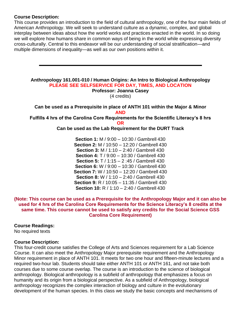# **Course Description:**

This course provides an introduction to the field of cultural anthropology, one of the four main fields of American Anthropology. We will seek to understand culture as a dynamic, complex, and global interplay between ideas about how the world works and practices enacted in the world. In so doing we will explore how humans share in common ways of being in the world while expressing diversity cross-culturally. Central to this endeavor will be our understanding of social stratification—and multiple dimensions of inequality—as well as our own positions within it.

# **Anthropology 161.001-010 / Human Origins: An Intro to Biological Anthropology PLEASE SEE SELFSERVICE FOR DAY, TIMES, AND LOCATION**

**Professor: Joanna Casey**

(4 credits)

**Can be used as a Prerequisite in place of ANTH 101 within the Major & Minor AND**

**Fulfills 4 hrs of the Carolina Core Requirements for the Scientific Literacy's 8 hrs OR**

# **Can be used as the Lab Requirement for the DURT Track**

**Section 1:** M / 9:00 – 10:30 / Gambrell 430 **Section 2:** M / 10:50 – 12:20 / Gambrell 430 **Section 3:** M / 1:10 – 2:40 / Gambrell 430 **Section 4:** T / 9:00 – 10:30 / Gambrell 430 **Section 5:** T / 1:15 – 2 :45 / Gambrell 430 **Section 6:** W / 9:00 – 10:30 / Gambrell 430 **Section 7:** W / 10:50 – 12:20 / Gambrell 430 **Section 8:** W / 1:10 – 2:40 / Gambrell 430 **Section 9:** R / 10:05 – 11:35 / Gambrell 430 **Section 10:** R / 1:10 – 2:40 / Gambrell 430

# **(Note: This course can be used as a Prerequisite for the Anthropology Major and it can also be used for 4 hrs of the Carolina Core Requirements for the Science Literacy's 8 credits at the same time. This course cannot be used to satisfy any credits for the Social Science GSS Carolina Core Requirement)**

# **Course Readings:**

No required texts

# **Course Description:**

This four-credit course satisfies the College of Arts and Sciences requirement for a Lab Science Course. It can also meet the Anthropology Major prerequisite requirement and the Anthropology Minor requirement in place of ANTH 101. It meets for two one hour and fifteen-minute lectures and a required two-hour lab. Students should take either ANTH 101 or ANTH 161, and not take both courses due to some course overlap. The course is an introduction to the science of biological anthropology. Biological anthropology is a subfield of anthropology that emphasizes a focus on humanity and its origin from a biological perspective. As a subfield of Anthropology, biological anthropology recognizes the complex interaction of biology and culture in the evolutionary development of the human species. In this class we study the basic concepts and mechanisms of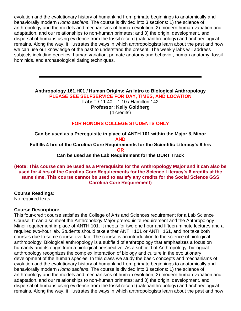evolution and the evolutionary history of humankind from primate beginnings to anatomically and behaviorally modern *Homo sapiens*. The course is divided into 3 sections: 1) the science of anthropology and the models and mechanisms of human evolution; 2) modern human variation and adaptation, and our relationships to non-human primates; and 3) the origin, development, and dispersal of humans using evidence from the fossil record (paleoanthropology) and archaeological remains. Along the way, it illustrates the ways in which anthropologists learn about the past and how we can use our knowledge of the past to understand the present. The weekly labs will address subjects including genetics, human variation, primate anatomy and behavior, human anatomy, fossil hominids, and archaeological dating techniques.

**Anthropology 161.H01 / Human Origins: An Intro to Biological Anthropology PLEASE SEE SELFSERVICE FOR DAY, TIMES, AND LOCATION Lab:** T / 11:40 – 1:10 / Hamilton 142

**Professor: Kelly Goldberg** (4 credits)

# **FOR HONORS COLLEGE STUDENTS ONLY**

**Can be used as a Prerequisite in place of ANTH 101 within the Major & Minor AND Fulfills 4 hrs of the Carolina Core Requirements for the Scientific Literacy's 8 hrs OR Can be used as the Lab Requirement for the DURT Track**

# **(Note: This course can be used as a Prerequisite for the Anthropology Major and it can also be used for 4 hrs of the Carolina Core Requirements for the Science Literacy's 8 credits at the same time. This course cannot be used to satisfy any credits for the Social Science GSS Carolina Core Requirement)**

**Course Readings:** No required texts

# **Course Description:**

This four-credit course satisfies the College of Arts and Sciences requirement for a Lab Science Course. It can also meet the Anthropology Major prerequisite requirement and the Anthropology Minor requirement in place of ANTH 101. It meets for two one hour and fifteen-minute lectures and a required two-hour lab. Students should take either ANTH 101 or ANTH 161, and not take both courses due to some course overlap. The course is an introduction to the science of biological anthropology. Biological anthropology is a subfield of anthropology that emphasizes a focus on humanity and its origin from a biological perspective. As a subfield of Anthropology, biological anthropology recognizes the complex interaction of biology and culture in the evolutionary development of the human species. In this class we study the basic concepts and mechanisms of evolution and the evolutionary history of humankind from primate beginnings to anatomically and behaviorally modern *Homo sapiens*. The course is divided into 3 sections: 1) the science of anthropology and the models and mechanisms of human evolution; 2) modern human variation and adaptation, and our relationships to non-human primates; and 3) the origin, development, and dispersal of humans using evidence from the fossil record (paleoanthropology) and archaeological remains. Along the way, it illustrates the ways in which anthropologists learn about the past and how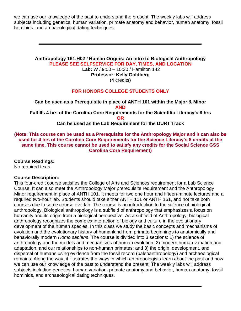we can use our knowledge of the past to understand the present. The weekly labs will address subjects including genetics, human variation, primate anatomy and behavior, human anatomy, fossil hominids, and archaeological dating techniques.

# **Anthropology 161.H02 / Human Origins: An Intro to Biological Anthropology PLEASE SEE SELFSERVICE FOR DAY, TIMES, AND LOCATION**

**Lab:** W / 9:00 – 10:30 / Hamilton 142

**Professor: Kelly Goldberg**

(4 credits)

# **FOR HONORS COLLEGE STUDENTS ONLY**

**Can be used as a Prerequisite in place of ANTH 101 within the Major & Minor AND Fulfills 4 hrs of the Carolina Core Requirements for the Scientific Literacy's 8 hrs OR Can be used as the Lab Requirement for the DURT Track**

**(Note: This course can be used as a Prerequisite for the Anthropology Major and it can also be used for 4 hrs of the Carolina Core Requirements for the Science Literacy's 8 credits at the same time. This course cannot be used to satisfy any credits for the Social Science GSS Carolina Core Requirement)**

# **Course Readings:**

No required texts

# **Course Description:**

This four-credit course satisfies the College of Arts and Sciences requirement for a Lab Science Course. It can also meet the Anthropology Major prerequisite requirement and the Anthropology Minor requirement in place of ANTH 101. It meets for two one hour and fifteen-minute lectures and a required two-hour lab. Students should take either ANTH 101 or ANTH 161, and not take both courses due to some course overlap. The course is an introduction to the science of biological anthropology. Biological anthropology is a subfield of anthropology that emphasizes a focus on humanity and its origin from a biological perspective. As a subfield of Anthropology, biological anthropology recognizes the complex interaction of biology and culture in the evolutionary development of the human species. In this class we study the basic concepts and mechanisms of evolution and the evolutionary history of humankind from primate beginnings to anatomically and behaviorally modern *Homo sapiens*. The course is divided into 3 sections: 1) the science of anthropology and the models and mechanisms of human evolution; 2) modern human variation and adaptation, and our relationships to non-human primates; and 3) the origin, development, and dispersal of humans using evidence from the fossil record (paleoanthropology) and archaeological remains. Along the way, it illustrates the ways in which anthropologists learn about the past and how we can use our knowledge of the past to understand the present. The weekly labs will address subjects including genetics, human variation, primate anatomy and behavior, human anatomy, fossil hominids, and archaeological dating techniques.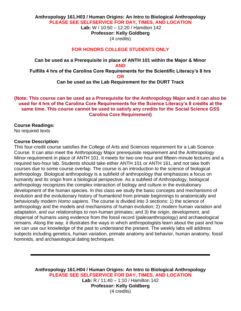# **Anthropology 161.H03 / Human Origins: An Intro to Biological Anthropology PLEASE SEE SELFSERVICE FOR DAY, TIMES, AND LOCATION Lab:** W / 10:50 – 12:20 / Hamilton 142 **Professor: Kelly Goldberg**

(4 credits)

# **FOR HONORS COLLEGE STUDENTS ONLY**

**Can be used as a Prerequisite in place of ANTH 101 within the Major & Minor AND Fulfills 4 hrs of the Carolina Core Requirements for the Scientific Literacy's 8 hrs OR**

# **Can be used as the Lab Requirement for the DURT Track**

# **(Note: This course can be used as a Prerequisite for the Anthropology Major and it can also be used for 4 hrs of the Carolina Core Requirements for the Science Literacy's 8 credits at the same time. This course cannot be used to satisfy any credits for the Social Science GSS Carolina Core Requirement)**

## **Course Readings:**

No required texts

#### **Course Description:**

This four-credit course satisfies the College of Arts and Sciences requirement for a Lab Science Course. It can also meet the Anthropology Major prerequisite requirement and the Anthropology Minor requirement in place of ANTH 101. It meets for two one hour and fifteen-minute lectures and a required two-hour lab. Students should take either ANTH 101 or ANTH 161, and not take both courses due to some course overlap. The course is an introduction to the science of biological anthropology. Biological anthropology is a subfield of anthropology that emphasizes a focus on humanity and its origin from a biological perspective. As a subfield of Anthropology, biological anthropology recognizes the complex interaction of biology and culture in the evolutionary development of the human species. In this class we study the basic concepts and mechanisms of evolution and the evolutionary history of humankind from primate beginnings to anatomically and behaviorally modern *Homo sapiens*. The course is divided into 3 sections: 1) the science of anthropology and the models and mechanisms of human evolution; 2) modern human variation and adaptation, and our relationships to non-human primates; and 3) the origin, development, and dispersal of humans using evidence from the fossil record (paleoanthropology) and archaeological remains. Along the way, it illustrates the ways in which anthropologists learn about the past and how we can use our knowledge of the past to understand the present. The weekly labs will address subjects including genetics, human variation, primate anatomy and behavior, human anatomy, fossil hominids, and archaeological dating techniques.

**Anthropology 161.H04 / Human Origins: An Intro to Biological Anthropology PLEASE SEE SELFSERVICE FOR DAY, TIMES, AND LOCATION Lab:** R / 11:40 – 1:10 / Hamilton 142 **Professor: Kelly Goldberg** (4 credits)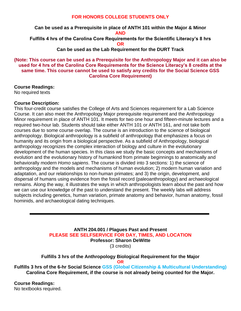# **FOR HONORS COLLEGE STUDENTS ONLY**

**Can be used as a Prerequisite in place of ANTH 101 within the Major & Minor AND Fulfills 4 hrs of the Carolina Core Requirements for the Scientific Literacy's 8 hrs OR**

**Can be used as the Lab Requirement for the DURT Track**

**(Note: This course can be used as a Prerequisite for the Anthropology Major and it can also be used for 4 hrs of the Carolina Core Requirements for the Science Literacy's 8 credits at the same time. This course cannot be used to satisfy any credits for the Social Science GSS Carolina Core Requirement)**

**Course Readings:**

No required texts

# **Course Description:**

This four-credit course satisfies the College of Arts and Sciences requirement for a Lab Science Course. It can also meet the Anthropology Major prerequisite requirement and the Anthropology Minor requirement in place of ANTH 101. It meets for two one hour and fifteen-minute lectures and a required two-hour lab. Students should take either ANTH 101 or ANTH 161, and not take both courses due to some course overlap. The course is an introduction to the science of biological anthropology. Biological anthropology is a subfield of anthropology that emphasizes a focus on humanity and its origin from a biological perspective. As a subfield of Anthropology, biological anthropology recognizes the complex interaction of biology and culture in the evolutionary development of the human species. In this class we study the basic concepts and mechanisms of evolution and the evolutionary history of humankind from primate beginnings to anatomically and behaviorally modern *Homo sapiens*. The course is divided into 3 sections: 1) the science of anthropology and the models and mechanisms of human evolution; 2) modern human variation and adaptation, and our relationships to non-human primates; and 3) the origin, development, and dispersal of humans using evidence from the fossil record (paleoanthropology) and archaeological remains. Along the way, it illustrates the ways in which anthropologists learn about the past and how we can use our knowledge of the past to understand the present. The weekly labs will address subjects including genetics, human variation, primate anatomy and behavior, human anatomy, fossil hominids, and archaeological dating techniques.

> **ANTH 204.001 / Plagues Past and Present PLEASE SEE SELFSERVICE FOR DAY, TIMES, AND LOCATION Professor: Sharon DeWitte** (3 credits)

**Fulfills 3 hrs of the Anthropology Biological Requirement for the Major OR**

**Fulfills 3 hrs of the 6-hr Social Science GSS (Global Citizenship & Multicultural Understanding) Carolina Core Requirement, if the course is not already being counted for the Major.**

**Course Readings:** No textbooks required.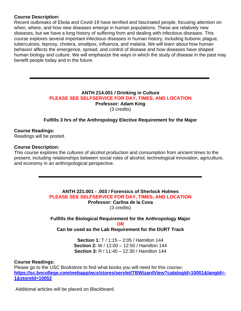# **Course Description:**

Recent outbreaks of Ebola and Covid-19 have terrified and fascinated people, focusing attention on when, where, and how new diseases emerge in human populations. These are relatively new diseases, but we have a long history of suffering from and dealing with infectious diseases. This course explores several important infectious diseases in human history, including bubonic plague, tuberculosis, leprosy, cholera, smallpox, influenza, and malaria. We will learn about how human behavior affects the emergence, spread, and control of disease and how diseases have shaped human biology and culture. We will emphasize the ways in which the study of disease in the past may benefit people today and in the future.

## **ANTH 214.001 / Drinking in Culture PLEASE SEE SELFSERVICE FOR DAY, TIMES, AND LOCATION Professor: Adam King** (3 credits)

# **Fulfills 3 hrs of the Anthropology Elective Requirement for the Major**

**Course Readings:** Readings will be posted.

#### **Course Description:**

This course explores the cultures of alcohol production and consumption from ancient times to the present, including relationships between social roles of alcohol, technological innovation, agriculture, and economy in an anthropological perspective.

> **ANTH 221.001 - .003 / Forensics of Sherlock Holmes PLEASE SEE SELFSERVICE FOR DAY, TIMES, AND LOCATION Professor: Carlina de la Cova** (3 credits)

**Fulfills the Biological Requirement for the Anthropology Major OR Can be used as the Lab Requirement for the DURT Track**

> **Section 1:** T / 1:15 – 2:05 / Hamilton 144 **Section 2:** W / 12:00 – 12:50 / Hamilton 144 **Section 3:** R / 11:40 – 12:30 / Hamilton 144

#### **Course Readings:**

Please go to the USC Bookstore to find what books you will need for this course**: [https://sc.bncollege.com/webapp/wcs/stores/servlet/TBWizardView?catalogId=10001&langId=-](https://sc.bncollege.com/webapp/wcs/stores/servlet/TBWizardView?catalogId=10001&langId=-1&storeId=10052) [1&storeId=10052](https://sc.bncollege.com/webapp/wcs/stores/servlet/TBWizardView?catalogId=10001&langId=-1&storeId=10052)**

Additional articles will be placed on Blackboard.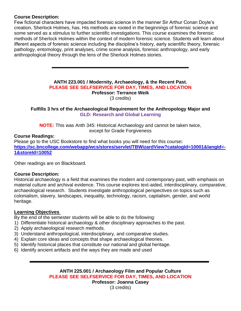# **Course Description:**

Few fictional characters have impacted forensic science in the manner Sir Arthur Conan Doyle's creation, Sherlock Holmes, has. His methods are rooted in the beginnings of forensic science and some served as a stimulus to further scientific investigations. This course examines the forensic methods of Sherlock Holmes within the context of modern forensic science. Students will learn about ifferent aspects of forensic science including the discipline's history, early scientific theory, forensic pathology, entomology, print analyses, crime scene analysis, forensic anthropology, and early anthropological theory through the lens of the Sherlock Holmes stories.

## **ANTH 223.001 / Modernity, Archaeology, & the Recent Past. PLEASE SEE SELFSERVICE FOR DAY, TIMES, AND LOCATION Professor: Terrance Weik** (3 credits)

# **Fulfills 3 hrs of the Archaeological Requirement for the Anthropology Major and GLD: Research and Global Learning**

**NOTE:** This was Anth 345: Historical Archaeology and cannot be taken twice, except for Grade Forgiveness

# **Course Readings:**

Please go to the USC Bookstore to find what books you will need for this course**: [https://sc.bncollege.com/webapp/wcs/stores/servlet/TBWizardView?catalogId=10001&langId=-](https://sc.bncollege.com/webapp/wcs/stores/servlet/TBWizardView?catalogId=10001&langId=-1&storeId=10052) [1&storeId=10052](https://sc.bncollege.com/webapp/wcs/stores/servlet/TBWizardView?catalogId=10001&langId=-1&storeId=10052)**

Other readings are on Blackboard.

# **Course Description:**

Historical archaeology is a field that examines the modern and contemporary past, with emphasis on material culture and archival evidence. This course explores text-aided, interdisciplinary, comparative, archaeological research. Students investigate anthropological perspectives on topics such as colonialism, slavery, landscapes, inequality, technology, racism, capitalism, gender, and world heritage.

# **Learning Objectives**

By the end of the semester students will be able to do the following:

- 1) Differentiate historical archaeology & other disciplinary approaches to the past.
- 2) Apply archaeological research methods.
- 3) Understand anthropological, interdisciplinary, and comparative studies.
- 4) Explain core ideas and concepts that shape archaeological theories.
- 5) Identify historical places that constitute our national and global heritage.
- 6) Identify ancient artifacts and the ways they are made and used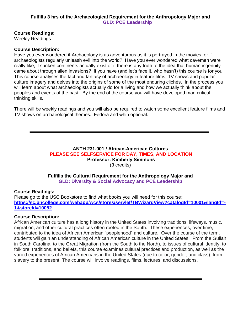# **Fulfills 3 hrs of the Archaeological Requirement for the Anthropology Major and GLD: PCE Leadership**

# **Course Readings:**

Weekly Readings

# **Course Description:**

Have you ever wondered if Archaeology is as adventurous as it is portrayed in the movies, or if archaeologists regularly unleash evil into the world? Have you ever wondered what cavemen were really like, if sunken continents actually exist or if there is any truth to the idea that human ingenuity came about through alien invasions? If you have (and let's face it, who hasn't) this course is for you. This course analyses the fact and fantasy of archaeology in feature films, TV shows and popular culture imagery and delves into the origins of some of the most enduring clichés. In the process you will learn about what archaeologists actually do for a living and how we actually think about the peoples and events of the past. By the end of the course you will have developed mad critical thinking skills.

There will be weekly readings and you will also be required to watch some excellent feature films and TV shows on archaeological themes. Fedora and whip optional.

## **ANTH 231.001 / African-American Cultures PLEASE SEE SELFSERVICE FOR DAY, TIMES, AND LOCATION Professor: Kimberly Simmons** (3 credits)

#### **Fulfills the Cultural Requirement for the Anthropology Major and GLD: Diversity & Social Advocacy and PCE Leadership**

# **Course Readings:**

Please go to the USC Bookstore to find what books you will need for this course**: [https://sc.bncollege.com/webapp/wcs/stores/servlet/TBWizardView?catalogId=10001&langId=-](https://sc.bncollege.com/webapp/wcs/stores/servlet/TBWizardView?catalogId=10001&langId=-1&storeId=10052) [1&storeId=10052](https://sc.bncollege.com/webapp/wcs/stores/servlet/TBWizardView?catalogId=10001&langId=-1&storeId=10052)**

# **Course Description:**

African American culture has a long history in the United States involving traditions, lifeways, music, migration, and other cultural practices often rooted in the South. These experiences, over time, contributed to the idea of African American "peoplehood" and culture. Over the course of the term, students will gain an understanding of African American culture in the United States. From the Gullah in South Carolina, to the Great Migration (from the South to the North), to issues of cultural identity, to folklore, traditions, and beliefs, this course examines cultural practices and production, as well as the varied experiences of African Americans in the United States (due to color, gender, and class), from slavery to the present. The course will involve readings, films, lectures, and discussions.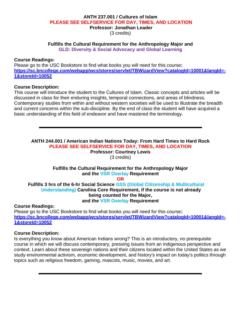#### **ANTH 237.001 / Cultures of Islam PLEASE SEE SELFSERVICE FOR DAY, TIMES, AND LOCATION Professor: Jonathan Leader** (3 credits)

**Fulfills the Cultural Requirement for the Anthropology Major and**

**GLD: Diversity & Social Advocacy and Global Learning**

#### **Course Readings:**

Please go to the USC Bookstore to find what books you will need for this course**: [https://sc.bncollege.com/webapp/wcs/stores/servlet/TBWizardView?catalogId=10001&langId=-](https://sc.bncollege.com/webapp/wcs/stores/servlet/TBWizardView?catalogId=10001&langId=-1&storeId=10052) [1&storeId=10052](https://sc.bncollege.com/webapp/wcs/stores/servlet/TBWizardView?catalogId=10001&langId=-1&storeId=10052)**

#### **Course Description:**

This course will introduce the student to the Cultures of Islam. Classic concepts and articles will be discussed in class for their enduring insights, temporal connections, and areas of blindness. Contemporary studies from within and without western societies will be used to illustrate the breadth and current concerns within the sub-discipline. By the end of class the student will have acquired a basic understanding of this field of endeavor and have mastered the terminology.

**ANTH 244.001 / American Indian Nations Today: From Hard Times to Hard Rock PLEASE SEE SELFSERVICE FOR DAY, TIMES, AND LOCATION Professor: Courtney Lewis** (3 credits)

# **Fulfills the Cultural Requirement for the Anthropology Major and the VSR Overlay Requirement**

**OR**

**Fulfills 3 hrs of the 6-hr Social Science GSS (Global Citizenship & Multicultural Understanding) Carolina Core Requirement, if the course is not already being counted for the Major, and the VSR Overlay Requirement**

#### **Course Readings:**

Please go to the USC Bookstore to find what books you will need for this course**: [https://sc.bncollege.com/webapp/wcs/stores/servlet/TBWizardView?catalogId=10001&langId=-](https://sc.bncollege.com/webapp/wcs/stores/servlet/TBWizardView?catalogId=10001&langId=-1&storeId=10052) [1&storeId=10052](https://sc.bncollege.com/webapp/wcs/stores/servlet/TBWizardView?catalogId=10001&langId=-1&storeId=10052)**

# **Course Description:**

Is everything you know about American Indians wrong? This is an introductory, no prerequisite course in which we will discuss contemporary, pressing issues from an indigenous perspective and context. Learn about these sovereign nations and their citizens located within the United States as we study environmental activism, economic development, and history's impact on today's politics through topics such as religious freedom, gaming, mascots, music, movies, and art.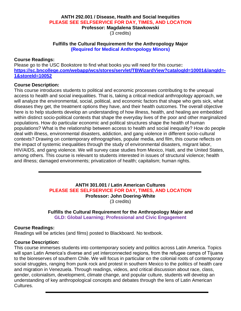#### **ANTH 292.001 / Disease, Health and Social Inequities PLEASE SEE SELFSERVICE FOR DAY, TIMES, AND LOCATION Professor: Magdalena Stawkowski** (3 credits)

# **Fulfills the Cultural Requirement for the Anthropology Major (Required for Medical Anthropology Minors)**

## **Course Readings:**

Please go to the USC Bookstore to find what books you will need for this course**: [https://sc.bncollege.com/webapp/wcs/stores/servlet/TBWizardView?catalogId=10001&langId=-](https://sc.bncollege.com/webapp/wcs/stores/servlet/TBWizardView?catalogId=10001&langId=-1&storeId=10052) [1&storeId=10052](https://sc.bncollege.com/webapp/wcs/stores/servlet/TBWizardView?catalogId=10001&langId=-1&storeId=10052)**

#### **Course Description:**

This course introduces students to political and economic processes contributing to the unequal access to health and social inequalities. That is, taking a critical medical anthropology approach, we will analyze the environmental, social, political, and economic factors that shape who gets sick, what diseases they get, the treatment options they have, and their health outcomes. The overall objective here is to help students develop an understanding of how illness, health, and healing are embedded within distinct socio-political contexts that shape the everyday lives of the poor and other marginalized populations. How do particular economic and political structures shape the health of human populations? What is the relationship between access to health and social inequality? How do people deal with illness, environmental disasters, addiction, and gang violence in different socio-cultural contexts? Drawing on contemporary ethnographies, popular media, and film, this course reflects on the impact of systemic inequalities through the study of environmental disasters, migrant labor, HIV/AIDS, and gang violence. We will survey case studies from Mexico, Haiti, and the United States, among others. This course is relevant to students interested in issues of structural violence; health and illness; damaged environments; privatization of health; capitalism; human rights.

# **ANTH 301.001 / Latin American Cultures PLEASE SEE SELFSERVICE FOR DAY, TIMES, AND LOCATION Professor: John Doering-White** (3 credits)

# **Fulfills the Cultural Requirement for the Anthropology Major and GLD: Global Learning; Professional and Civic Engagement**

# **Course Readings:**

Readings will be articles (and films) posted to Blackboard. No textbook.

# **Course Description:**

This course immerses students into contemporary society and politics across Latin America. Topics will span Latin America's diverse and yet interconnected regions, from the refugee camps of Tijuana to the bioreserves of southern Chile. We will focus in particular on the colonial roots of contemporary social struggles, ranging from punk rock and protest in southern Mexico to the politics of health care and migration in Venezuela. Through readings, videos, and critical discussion about race, class, gender, colonialism, development, climate change, and popular culture, students will develop an understanding of key anthropological concepts and debates through the lens of Latin American Cultures.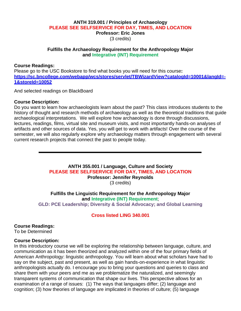# **ANTH 319.001 / Principles of Archaeology PLEASE SEE SELFSERVICE FOR DAY, TIMES, AND LOCATION Professor: Eric Jones** (3 credits)

## **Fulfills the Archaeology Requirement for the Anthropology Major and Integrative (INT) Requirement**

## **Course Readings:**

Please go to the USC Bookstore to find what books you will need for this course**: [https://sc.bncollege.com/webapp/wcs/stores/servlet/TBWizardView?catalogId=10001&langId=-](https://sc.bncollege.com/webapp/wcs/stores/servlet/TBWizardView?catalogId=10001&langId=-1&storeId=10052) [1&storeId=10052](https://sc.bncollege.com/webapp/wcs/stores/servlet/TBWizardView?catalogId=10001&langId=-1&storeId=10052)**

And selected readings on BlackBoard

# **Course Description:**

Do you want to learn how archaeologists learn about the past? This class introduces students to the history of thought and research methods of archaeology as well as the theoretical traditions that guide archaeological interpretations. We will explore how archaeology is done through discussions, lectures, readings, films, virtual site and museum visits, and most importantly hands-on analyses of artifacts and other sources of data. Yes, you will get to work with artifacts! Over the course of the semester, we will also regularly explore why archaeology matters through engagement with several current research projects that connect the past to people today.

# **ANTH 355.001 / Language, Culture and Society PLEASE SEE SELFSERVICE FOR DAY, TIMES, AND LOCATION Professor: Jennifer Reynolds** (3 credits)

**Fulfills the Linguistic Requirement for the Anthropology Major and Integrative (INT) Requirement**; **GLD: PCE Leadership; Diversity & Social Advocacy; and Global Learning**

# **Cross listed LING 340.001**

# **Course Readings:**

To be Determined

# **Course Description:**

In this introductory course we will be exploring the relationship between language, culture, and communication as it has been theorized and analyzed within one of the four primary fields of American Anthropology: linguistic anthropology. You will learn about what scholars have had to say on the subject, past and present, as well as gain hands-on-experience in what linguistic anthropologists actually do. I encourage you to bring your questions and queries to class and share them with your peers and me as we problematize the naturalized, and seemingly transparent systems of communication that shape our lives. This perspective allows for an examination of a range of issues: (1) The ways that languages differ; (2) language and cognition; (3) how theories of language are implicated in theories of culture; (5) language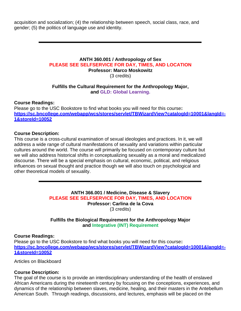acquisition and socialization; (4) the relationship between speech, social class, race, and gender; (5) the politics of language use and identity.

#### **ANTH 360.001 / Anthropology of Sex PLEASE SEE SELFSERVICE FOR DAY, TIMES, AND LOCATION Professor: Marco Moskowitz**

(3 credits)

# **Fulfills the Cultural Requirement for the Anthropology Major, and GLD: Global Learning.**

# **Course Readings:**

Please go to the USC Bookstore to find what books you will need for this course**: [https://sc.bncollege.com/webapp/wcs/stores/servlet/TBWizardView?catalogId=10001&langId=-](https://sc.bncollege.com/webapp/wcs/stores/servlet/TBWizardView?catalogId=10001&langId=-1&storeId=10052) [1&storeId=10052](https://sc.bncollege.com/webapp/wcs/stores/servlet/TBWizardView?catalogId=10001&langId=-1&storeId=10052)**

# **Course Description:**

This course is a cross-cultural examination of sexual ideologies and practices. In it, we will address a wide range of cultural manifestations of sexuality and variations within particular cultures around the world. The course will primarily be focused on contemporary culture but we will also address historical shifts in conceptualizing sexuality as a moral and medicalized discourse. There will be a special emphasis on cultural, economic, political, and religious influences on sexual thought and practice though we will also touch on psychological and other theoretical models of sexuality.

> **ANTH 366.001 / Medicine, Disease & Slavery PLEASE SEE SELFSERVICE FOR DAY, TIMES, AND LOCATION Professor: Carlina de la Cova** (3 credits)

# **Fulfills the Biological Requirement for the Anthropology Major and Integrative (INT) Requirement**

# **Course Readings:**

Please go to the USC Bookstore to find what books you will need for this course**: [https://sc.bncollege.com/webapp/wcs/stores/servlet/TBWizardView?catalogId=10001&langId=-](https://sc.bncollege.com/webapp/wcs/stores/servlet/TBWizardView?catalogId=10001&langId=-1&storeId=10052) [1&storeId=10052](https://sc.bncollege.com/webapp/wcs/stores/servlet/TBWizardView?catalogId=10001&langId=-1&storeId=10052)**

Articles on Blackboard

# **Course Description:**

The goal of the course is to provide an interdisciplinary understanding of the health of enslaved African Americans during the nineteenth century by focusing on the conceptions, experiences, and dynamics of the relationship between slaves, medicine, healing, and their masters in the Antebellum American South. Through readings, discussions, and lectures, emphasis will be placed on the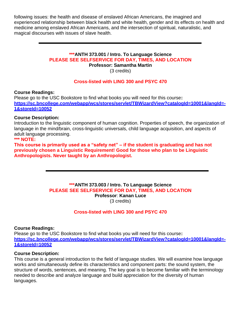following issues: the health and disease of enslaved African Americans, the imagined and experienced relationship between black health and white health, gender and its effects on health and medicine among enslaved African Americans, and the intersection of spiritual, naturalistic, and magical discourses with issues of slave health.

#### **\*\*\*ANTH 373.001 / Intro. To Language Science PLEASE SEE SELFSERVICE FOR DAY, TIMES, AND LOCATION Professor: Samantha Martin**

(3 credits)

# **Cross-listed with LING 300 and PSYC 470**

**Course Readings:**

Please go to the USC Bookstore to find what books you will need for this course**: [https://sc.bncollege.com/webapp/wcs/stores/servlet/TBWizardView?catalogId=10001&langId=-](https://sc.bncollege.com/webapp/wcs/stores/servlet/TBWizardView?catalogId=10001&langId=-1&storeId=10052) [1&storeId=10052](https://sc.bncollege.com/webapp/wcs/stores/servlet/TBWizardView?catalogId=10001&langId=-1&storeId=10052)**

# **Course Description:**

Introduction to the linguistic component of human cognition. Properties of speech, the organization of language in the mind/brain, cross-linguistic universals, child language acquisition, and aspects of adult language processing.

# **\*\*\* NOTE:**

**This course is primarily used as a "safety net" – if the student is graduating and has not previously chosen a Linguistic Requirement! Good for those who plan to be Linguistic Anthropologists. Never taught by an Anthropologist.**

#### **\*\*\*ANTH 373.003 / Intro. To Language Science PLEASE SEE SELFSERVICE FOR DAY, TIMES, AND LOCATION Professor**: **Kanan Luce** (3 credits)

# **Cross-listed with LING 300 and PSYC 470**

# **Course Readings:**

Please go to the USC Bookstore to find what books you will need for this course**: [https://sc.bncollege.com/webapp/wcs/stores/servlet/TBWizardView?catalogId=10001&langId=-](https://sc.bncollege.com/webapp/wcs/stores/servlet/TBWizardView?catalogId=10001&langId=-1&storeId=10052) [1&storeId=10052](https://sc.bncollege.com/webapp/wcs/stores/servlet/TBWizardView?catalogId=10001&langId=-1&storeId=10052)**

# **Course Description:**

This course is a general introduction to the field of language studies. We will examine how language works and simultaneously define its characteristics and component parts: the sound system, the structure of words, sentences, and meaning. The key goal is to become familiar with the terminology needed to describe and analyze language and build appreciation for the diversity of human languages.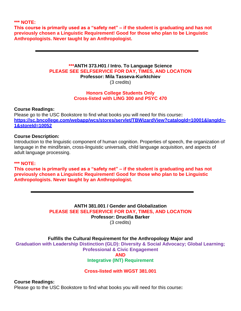**\*\*\* NOTE:**

**This course is primarily used as a "safety net" – if the student is graduating and has not previously chosen a Linguistic Requirement! Good for those who plan to be Linguistic Anthropologists. Never taught by an Anthropologist.**

#### **\*\*\*ANTH 373.H01 / Intro. To Language Science PLEASE SEE SELFSERVICE FOR DAY, TIMES, AND LOCATION Professor: Mila Tasseva-Kurktchiev**  (3 credits)

# **Honors College Students Only Cross-listed with LING 300 and PSYC 470**

**Course Readings:**

Please go to the USC Bookstore to find what books you will need for this course**: [https://sc.bncollege.com/webapp/wcs/stores/servlet/TBWizardView?catalogId=10001&langId=-](https://sc.bncollege.com/webapp/wcs/stores/servlet/TBWizardView?catalogId=10001&langId=-1&storeId=10052) [1&storeId=10052](https://sc.bncollege.com/webapp/wcs/stores/servlet/TBWizardView?catalogId=10001&langId=-1&storeId=10052)**

#### **Course Description:**

Introduction to the linguistic component of human cognition. Properties of speech, the organization of language in the mind/brain, cross-linguistic universals, child language acquisition, and aspects of adult language processing.

#### **\*\*\* NOTE:**

**This course is primarily used as a "safety net" – if the student is graduating and has not previously chosen a Linguistic Requirement! Good for those who plan to be Linguistic Anthropologists. Never taught by an Anthropologist.**

> **ANTH 381.001 / Gender and Globalization PLEASE SEE SELFSERVICE FOR DAY, TIMES, AND LOCATION Professor: Drucilla Barker** (3 credits)

# **Fulfills the Cultural Requirement for the Anthropology Major and**

**Graduation with Leadership Distinction (GLD): Diversity & Social Advocacy; Global Learning; Professional & Civic Engagement AND**

# **Integrative (INT) Requirement**

# **Cross-listed with WGST 381.001**

# **Course Readings:**

Please go to the USC Bookstore to find what books you will need for this course**:**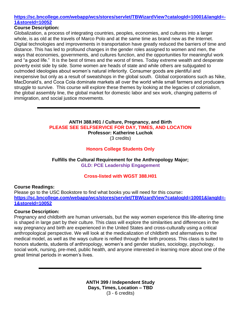# **[https://sc.bncollege.com/webapp/wcs/stores/servlet/TBWizardView?catalogId=10001&langId=-](https://sc.bncollege.com/webapp/wcs/stores/servlet/TBWizardView?catalogId=10001&langId=-1&storeId=10052) [1&storeId=10052](https://sc.bncollege.com/webapp/wcs/stores/servlet/TBWizardView?catalogId=10001&langId=-1&storeId=10052)**

# **Course Description:**

Globalization, a process of integrating countries, peoples, economies, and cultures into a larger whole, is as old at the travels of Marco Polo and at the same time as brand new as the Internet. Digital technologies and improvements in transportation have greatly reduced the barriers of time and distance. This has led to profound changes in the gender roles assigned to women and men, the ways that economies, governments, and cultures function, and the opportunities for meaningful work and "a good life." It is the best of times and the worst of times. Today extreme wealth and desperate poverty exist side by side. Some women are heads of state and while others are subjugated to outmoded ideologies about women's natural inferiority. Consumer goods are plentiful and inexpensive but only as a result of sweatshops in the global south. Global corporations such as Nike, MacDonald's, and Coca Cola dominate markets all over the world while small farmers and producers struggle to survive. This course will explore these themes by looking at the legacies of colonialism, the global assembly line, the global market for domestic labor and sex work, changing patterns of immigration, and social justice movements.

#### **ANTH 388.H01 / Culture, Pregnancy, and Birth PLEASE SEE SELFSERVICE FOR DAY, TIMES, AND LOCATION Professor: Katherine Luchok** (3 credits)

# **Honors College Students Only**

**Fulfills the Cultural Requirement for the Anthropology Major; GLD: PCE Leadership Engagement** 

# **Cross-listed with WGST 388.H01**

# **Course Readings:**

Please go to the USC Bookstore to find what books you will need for this course**: [https://sc.bncollege.com/webapp/wcs/stores/servlet/TBWizardView?catalogId=10001&langId=-](https://sc.bncollege.com/webapp/wcs/stores/servlet/TBWizardView?catalogId=10001&langId=-1&storeId=10052) [1&storeId=10052](https://sc.bncollege.com/webapp/wcs/stores/servlet/TBWizardView?catalogId=10001&langId=-1&storeId=10052)**

# **Course Description:**

Pregnancy and childbirth are human universals, but the way women experience this life-altering time is shaped in large part by their culture. This class will explore the similarities and differences in the way pregnancy and birth are experienced in the United States and cross-culturally using a critical anthropological perspective. We will look at the medicalization of childbirth and alternatives to the medical model, as well as the ways culture is reified through the birth process. This class is suited to honors students, students of anthropology, women's and gender studies, sociology, psychology, social work, nursing, pre-med, public health, and anyone interested in learning more about one of the great liminal periods in women's lives.

> **ANTH 399 / Independent Study Days, Times, Location – TBD** (3 - 6 credits)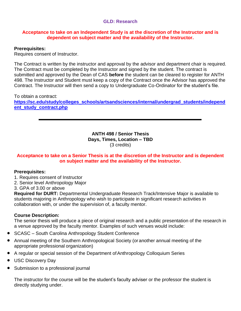# **GLD: Research**

# **Acceptance to take on an Independent Study is at the discretion of the Instructor and is dependent on subject matter and the availability of the Instructor.**

# **Prerequisites:**

Requires consent of Instructor.

The Contract is written by the instructor and approval by the advisor and department chair is required. The Contract must be completed by the Instructor and signed by the student. The contract is submitted and approved by the Dean of CAS **before** the student can be cleared to register for ANTH 498. The Instructor and Student must keep a copy of the Contract once the Advisor has approved the Contract. The Instructor will then send a copy to Undergraduate Co-Ordinator for the student's file.

To obtain a contract: **[https://sc.edu/study/colleges\\_schools/artsandsciences/internal/undergrad\\_students/independ](https://sc.edu/study/colleges_schools/artsandsciences/internal/undergrad_students/independent_study_contract.php) [ent\\_study\\_contract.php](https://sc.edu/study/colleges_schools/artsandsciences/internal/undergrad_students/independent_study_contract.php)**

> **ANTH 498 / Senior Thesis Days, Times, Location – TBD** (3 credits)

# **Acceptance to take on a Senior Thesis is at the discretion of the Instructor and is dependent on subject matter and the availability of the Instructor.**

# **Prerequisites:**

- 1. Requires consent of Instructor
- 2. Senior level Anthropology Major
- 3. GPA of 3.00 or above

**Required for DURT:** Departmental Undergraduate Research Track/Intensive Major is available to students majoring in Anthropology who wish to participate in significant research activities in collaboration with, or under the supervision of, a faculty mentor.

# **Course Description:**

The senior thesis will produce a piece of original research and a public presentation of the research in a venue approved by the faculty mentor. Examples of such venues would include:

- SCASC South Carolina Anthropology Student Conference
- Annual meeting of the Southern Anthropological Society (oranother annual meeting of the appropriate professional organization)
- A regular or special session of the Department of Anthropology Colloquium Series
- USC Discovery Day
- Submission to a professional journal

The instructor for the course will be the student's faculty adviser or the professor the student is directly studying under.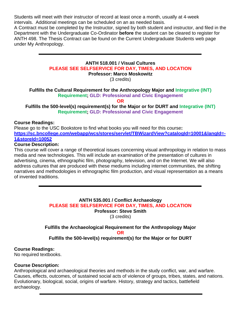Students will meet with their instructor of record at least once a month, usually at 4-week intervals. Additional meetings can be scheduled on an as needed basis.

A Contract must be completed by the Instructor, signed by both student and instructor, and filed in the Department with the Undergraduate Co-Ordinator **before** the student can be cleared to register for ANTH 498. The Thesis Contract can be found on the Current Undergraduate Students web page under My Anthropology.

# **ANTH 518.001 / Visual Cultures PLEASE SEE SELFSERVICE FOR DAY, TIMES, AND LOCATION**

**Professor: Marco Moskowitz**

(3 credits)

**Fulfills the Cultural Requirement for the Anthropology Major and Integrative (INT) Requirement; GLD: Professional and Civic Engagement**

**OR**

**Fulfills the 500-level(s) requirement(s) for the Major or for DURT and Integrative (INT) Requirement; GLD: Professional and Civic Engagement**

# **Course Readings:**

Please go to the USC Bookstore to find what books you will need for this course**: [https://sc.bncollege.com/webapp/wcs/stores/servlet/TBWizardView?catalogId=10001&langId=-](https://sc.bncollege.com/webapp/wcs/stores/servlet/TBWizardView?catalogId=10001&langId=-1&storeId=10052) [1&storeId=10052](https://sc.bncollege.com/webapp/wcs/stores/servlet/TBWizardView?catalogId=10001&langId=-1&storeId=10052)**

# **Course Description:**

This course will cover a range of theoretical issues concerning visual anthropology in relation to mass media and new technologies. This will include an examination of the presentation of cultures in advertising, cinema, ethnographic film, photography, television, and on the Internet. We will also address cultures that are produced with these mediums including internet communities, the shifting narratives and methodologies in ethnographic film production, and visual representation as a means of invented traditions.

> **ANTH 535.001 / Conflict Archaeology PLEASE SEE SELFSERVICE FOR DAY, TIMES, AND LOCATION Professor: Steve Smith** (3 credits)

**Fulfills the Archaeological Requirement for the Anthropology Major OR Fulfills the 500-level(s) requirement(s) for the Major or for DURT**

# **Course Readings:**

No required textbooks.

# **Course Description:**

Anthropological and archaeological theories and methods in the study conflict, war, and warfare. Causes, effects, outcomes, of sustained social acts of violence of groups, tribes, states, and nations. Evolutionary, biological, social, origins of warfare. History, strategy and tactics, battlefield archaeology.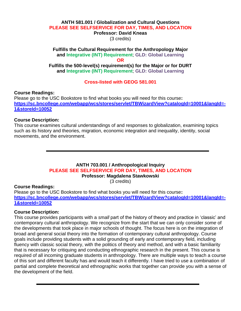#### **ANTH 581.001 / Globalization and Cultural Questions PLEASE SEE SELFSERVICE FOR DAY, TIMES, AND LOCATION Professor: David Kneas**

(3 credits)

# **Fulfills the Cultural Requirement for the Anthropology Major and Integrative (INT) Requirement**; **GLD: Global Learning OR**

**Fulfills the 500-level(s) requirement(s) for the Major or for DURT and Integrative (INT) Requirement**; **GLD: Global Learning**

**Cross-listed with GEOG 581.001**

# **Course Readings:**

Please go to the USC Bookstore to find what books you will need for this course**: [https://sc.bncollege.com/webapp/wcs/stores/servlet/TBWizardView?catalogId=10001&langId=-](https://sc.bncollege.com/webapp/wcs/stores/servlet/TBWizardView?catalogId=10001&langId=-1&storeId=10052) [1&storeId=10052](https://sc.bncollege.com/webapp/wcs/stores/servlet/TBWizardView?catalogId=10001&langId=-1&storeId=10052)**

# **Course Description:**

This course examines cultural understandings of and responses to globalization, examining topics such as its history and theories, migration, economic integration and inequality, identity, social movements, and the environment.

# **ANTH 703.001 / Anthropological Inquiry PLEASE SEE SELFSERVICE FOR DAY, TIMES, AND LOCATION Professor: Magdalena Stawkowski**

(3 credits)

# **Course Readings:**

Please go to the USC Bookstore to find what books you will need for this course**: [https://sc.bncollege.com/webapp/wcs/stores/servlet/TBWizardView?catalogId=10001&langId=-](https://sc.bncollege.com/webapp/wcs/stores/servlet/TBWizardView?catalogId=10001&langId=-1&storeId=10052) [1&storeId=10052](https://sc.bncollege.com/webapp/wcs/stores/servlet/TBWizardView?catalogId=10001&langId=-1&storeId=10052)**

# **Course Description:**

This course provides participants with a *small* part of the history of theory and practice in 'classic' and contemporary cultural anthropology. We recognize from the start that we can only consider *some* of the developments that took place in major schools of thought. The focus here is on the integration of broad and general social theory into the formation of contemporary cultural anthropology. Course goals include providing students with a solid grounding of early and contemporary field, including fluency with classic social theory, with the politics of theory and method, and with a basic familiarity that is necessary for critiquing and conducting ethnographic research in the present. This course is required of all incoming graduate students in anthropology. There are multiple ways to teach a course of this sort and different faculty has and would teach it differently. I have tried to use a combination of partial and complete theoretical and ethnographic works that together can provide you with a sense of the development of the field.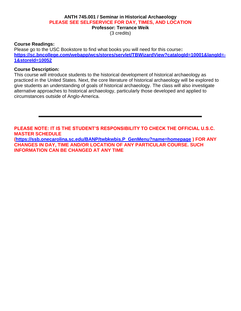# **ANTH 745.001 / Seminar in Historical Archaeology PLEASE SEE SELFSERVICE FOR DAY, TIMES, AND LOCATION Professor: Terrance Weik**

(3 credits)

#### **Course Readings:**

Please go to the USC Bookstore to find what books you will need for this course**: [https://sc.bncollege.com/webapp/wcs/stores/servlet/TBWizardView?catalogId=10001&langId=-](https://sc.bncollege.com/webapp/wcs/stores/servlet/TBWizardView?catalogId=10001&langId=-1&storeId=10052) [1&storeId=10052](https://sc.bncollege.com/webapp/wcs/stores/servlet/TBWizardView?catalogId=10001&langId=-1&storeId=10052)**

## **Course Description:**

This course will introduce students to the historical development of historical archaeology as practiced in the United States. Next, the core literature of historical archaeology will be explored to give students an understanding of goals of historical archaeology. The class will also investigate alternative approaches to historical archaeology, particularly those developed and applied to circumstances outside of Anglo-America.

**PLEASE NOTE: IT IS THE STUDENT'S RESPONSIBILITY TO CHECK THE OFFICIAL U.S.C. MASTER SCHEDULE**

**[\(https://ssb.onecarolina.sc.edu/BANP/twbkwbis.P\\_GenMenu?name=homepage](https://ssb.onecarolina.sc.edu/BANP/twbkwbis.P_GenMenu?name=homepage) ) FOR ANY CHANGES IN DAY, TIME AND/OR LOCATION OF ANY PARTICULAR COURSE. SUCH INFORMATION CAN BE CHANGED AT ANY TIME**